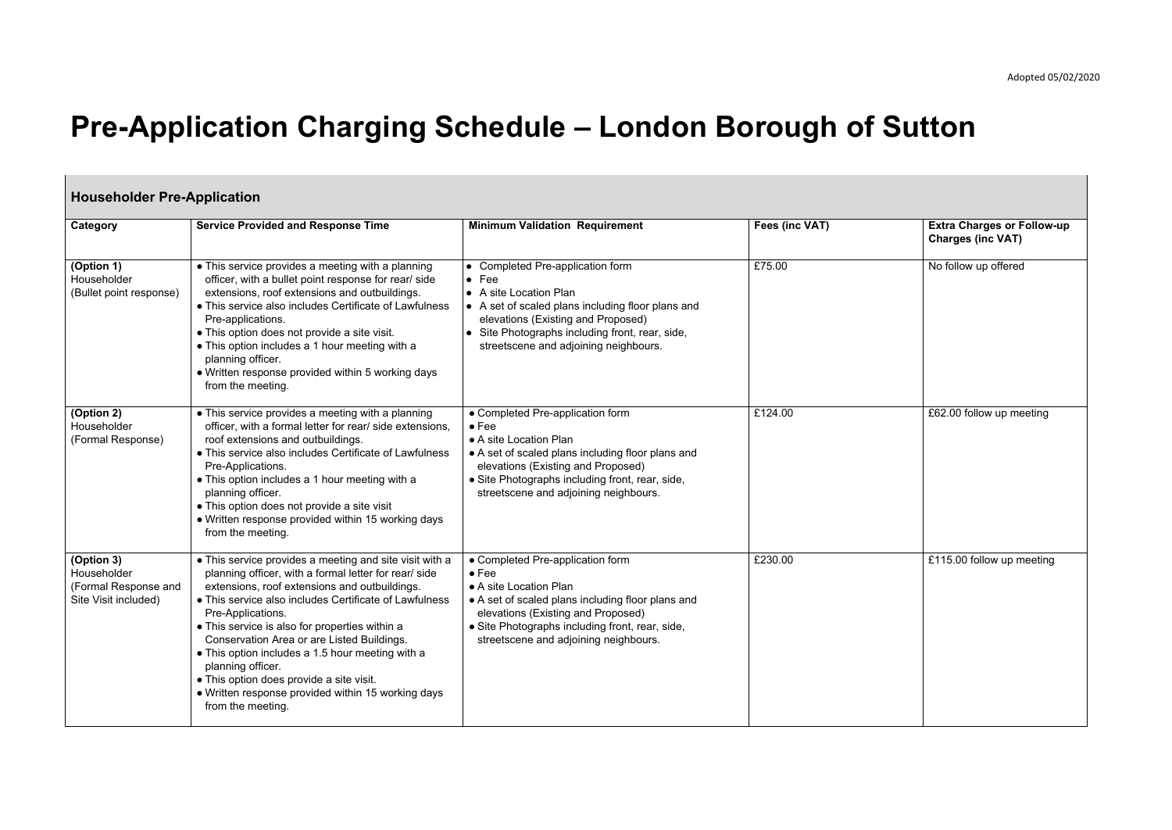Adopted 05/02/2020

## **Pre-Application Charging Schedule – London Borough of Sutton**

| <b>Householder Pre-Application</b>                                        |                                                                                                                                                                                                                                                                                                                                                                                                                                                                                                                                                  |                                                                                                                                                                                                                                                                    |                |                                                               |
|---------------------------------------------------------------------------|--------------------------------------------------------------------------------------------------------------------------------------------------------------------------------------------------------------------------------------------------------------------------------------------------------------------------------------------------------------------------------------------------------------------------------------------------------------------------------------------------------------------------------------------------|--------------------------------------------------------------------------------------------------------------------------------------------------------------------------------------------------------------------------------------------------------------------|----------------|---------------------------------------------------------------|
| Category                                                                  | <b>Service Provided and Response Time</b>                                                                                                                                                                                                                                                                                                                                                                                                                                                                                                        | <b>Minimum Validation Requirement</b>                                                                                                                                                                                                                              | Fees (inc VAT) | <b>Extra Charges or Follow-up</b><br><b>Charges (inc VAT)</b> |
| (Option 1)<br>Householder<br>(Bullet point response)                      | • This service provides a meeting with a planning<br>officer, with a bullet point response for rear/ side<br>extensions, roof extensions and outbuildings.<br>• This service also includes Certificate of Lawfulness<br>Pre-applications.<br>• This option does not provide a site visit.<br>• This option includes a 1 hour meeting with a<br>planning officer.<br>• Written response provided within 5 working days<br>from the meeting.                                                                                                       | • Completed Pre-application form<br>$\bullet$ Fee<br>• A site Location Plan<br>• A set of scaled plans including floor plans and<br>elevations (Existing and Proposed)<br>• Site Photographs including front, rear, side,<br>streetscene and adjoining neighbours. | £75.00         | No follow up offered                                          |
| (Option 2)<br>Householder<br>(Formal Response)                            | • This service provides a meeting with a planning<br>officer, with a formal letter for rear/ side extensions,<br>roof extensions and outbuildings.<br>• This service also includes Certificate of Lawfulness<br>Pre-Applications.<br>• This option includes a 1 hour meeting with a<br>planning officer.<br>• This option does not provide a site visit<br>• Written response provided within 15 working days<br>from the meeting.                                                                                                               | • Completed Pre-application form<br>$\bullet$ Fee<br>• A site Location Plan<br>• A set of scaled plans including floor plans and<br>elevations (Existing and Proposed)<br>• Site Photographs including front, rear, side,<br>streetscene and adjoining neighbours. | £124.00        | £62.00 follow up meeting                                      |
| (Option 3)<br>Householder<br>(Formal Response and<br>Site Visit included) | • This service provides a meeting and site visit with a<br>planning officer, with a formal letter for rear/ side<br>extensions, roof extensions and outbuildings.<br>• This service also includes Certificate of Lawfulness<br>Pre-Applications.<br>• This service is also for properties within a<br>Conservation Area or are Listed Buildings.<br>• This option includes a 1.5 hour meeting with a<br>planning officer.<br>• This option does provide a site visit.<br>• Written response provided within 15 working days<br>from the meeting. | • Completed Pre-application form<br>$\bullet$ Fee<br>• A site Location Plan<br>• A set of scaled plans including floor plans and<br>elevations (Existing and Proposed)<br>• Site Photographs including front, rear, side,<br>streetscene and adjoining neighbours. | £230.00        | £115.00 follow up meeting                                     |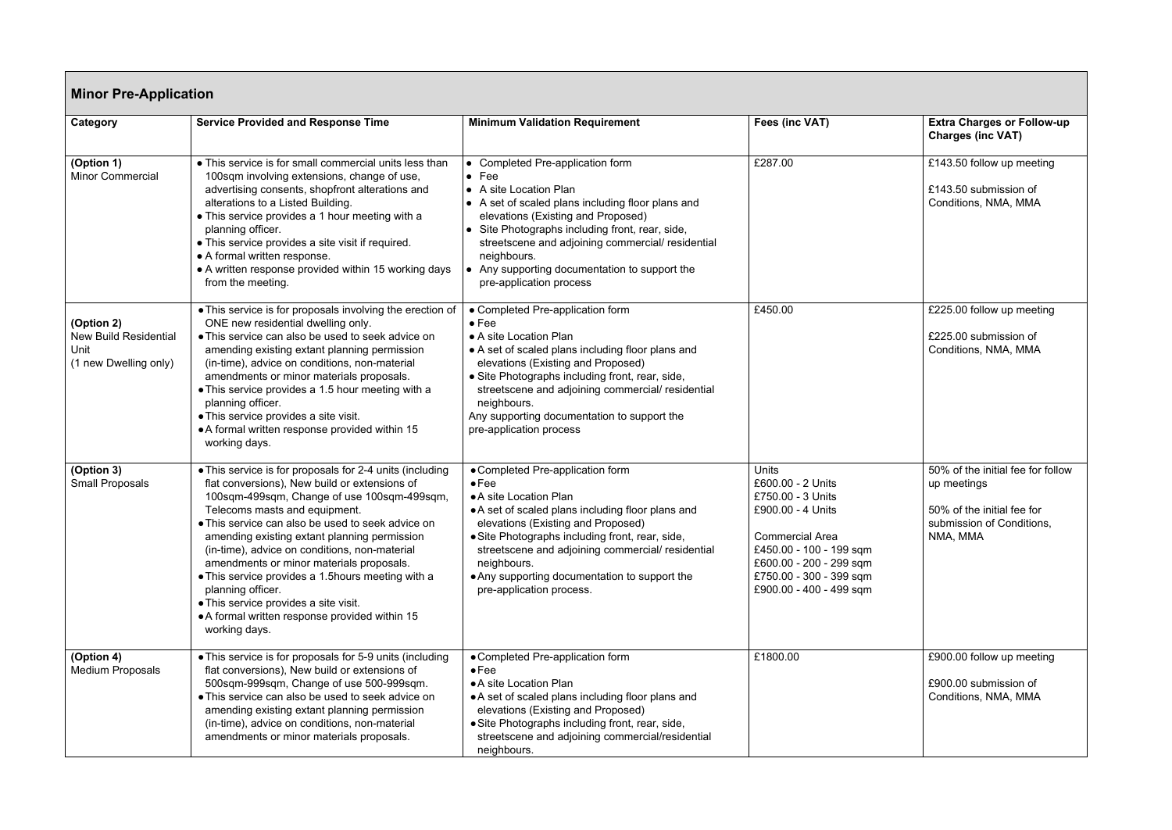| Category                                                                    | <b>Service Provided and Response Time</b>                                                                                                                                                                                                                                                                                                                                                                                                                                                                                                                                          | <b>Minimum Validation Requirement</b>                                                                                                                                                                                                                                                                                                                                      | Fees (inc VAT)                                                                                                                                                                                                    | <b>Extra Charges or Follow-up</b>                                                                                       |
|-----------------------------------------------------------------------------|------------------------------------------------------------------------------------------------------------------------------------------------------------------------------------------------------------------------------------------------------------------------------------------------------------------------------------------------------------------------------------------------------------------------------------------------------------------------------------------------------------------------------------------------------------------------------------|----------------------------------------------------------------------------------------------------------------------------------------------------------------------------------------------------------------------------------------------------------------------------------------------------------------------------------------------------------------------------|-------------------------------------------------------------------------------------------------------------------------------------------------------------------------------------------------------------------|-------------------------------------------------------------------------------------------------------------------------|
|                                                                             |                                                                                                                                                                                                                                                                                                                                                                                                                                                                                                                                                                                    |                                                                                                                                                                                                                                                                                                                                                                            |                                                                                                                                                                                                                   | <b>Charges (inc VAT)</b>                                                                                                |
| (Option 1)<br><b>Minor Commercial</b>                                       | • This service is for small commercial units less than<br>100sqm involving extensions, change of use,<br>advertising consents, shopfront alterations and<br>alterations to a Listed Building.<br>• This service provides a 1 hour meeting with a<br>planning officer.<br>• This service provides a site visit if required.<br>• A formal written response.<br>• A written response provided within 15 working days<br>from the meeting.                                                                                                                                            | • Completed Pre-application form<br>$\bullet$ Fee<br>• A site Location Plan<br>• A set of scaled plans including floor plans and<br>elevations (Existing and Proposed)<br>• Site Photographs including front, rear, side,<br>streetscene and adjoining commercial/residential<br>neighbours.<br>• Any supporting documentation to support the<br>pre-application process   | £287.00                                                                                                                                                                                                           | £143.50 follow up meeting<br>£143.50 submission of<br>Conditions, NMA, MMA                                              |
| (Option 2)<br><b>New Build Residential</b><br>Unit<br>(1 new Dwelling only) | • This service is for proposals involving the erection of<br>ONE new residential dwelling only.<br>• This service can also be used to seek advice on<br>amending existing extant planning permission<br>(in-time), advice on conditions, non-material<br>amendments or minor materials proposals.<br>• This service provides a 1.5 hour meeting with a<br>planning officer.<br>• This service provides a site visit.<br>• A formal written response provided within 15<br>working days.                                                                                            | • Completed Pre-application form<br>$\bullet$ Fee<br>• A site Location Plan<br>• A set of scaled plans including floor plans and<br>elevations (Existing and Proposed)<br>• Site Photographs including front, rear, side,<br>streetscene and adjoining commercial/residential<br>neighbours.<br>Any supporting documentation to support the<br>pre-application process     | £450.00                                                                                                                                                                                                           | £225.00 follow up meeting<br>£225.00 submission of<br>Conditions, NMA, MMA                                              |
| (Option 3)<br><b>Small Proposals</b>                                        | • This service is for proposals for 2-4 units (including<br>flat conversions), New build or extensions of<br>100sqm-499sqm, Change of use 100sqm-499sqm,<br>Telecoms masts and equipment.<br>• This service can also be used to seek advice on<br>amending existing extant planning permission<br>(in-time), advice on conditions, non-material<br>amendments or minor materials proposals.<br>• This service provides a 1.5 hours meeting with a<br>planning officer.<br>• This service provides a site visit.<br>• A formal written response provided within 15<br>working days. | • Completed Pre-application form<br>$\bullet$ Fee<br>• A site Location Plan<br>• A set of scaled plans including floor plans and<br>elevations (Existing and Proposed)<br>• Site Photographs including front, rear, side,<br>streetscene and adjoining commercial/ residential<br>neighbours.<br>• Any supporting documentation to support the<br>pre-application process. | <b>Units</b><br>£600.00 - 2 Units<br>£750.00 - 3 Units<br>£900.00 - 4 Units<br><b>Commercial Area</b><br>£450.00 - 100 - 199 sqm<br>£600.00 - 200 - 299 sqm<br>£750.00 - 300 - 399 sqm<br>£900.00 - 400 - 499 sqm | 50% of the initial fee for follow<br>up meetings<br>50% of the initial fee for<br>submission of Conditions,<br>NMA, MMA |
| (Option 4)<br><b>Medium Proposals</b>                                       | • This service is for proposals for 5-9 units (including<br>flat conversions), New build or extensions of<br>500sqm-999sqm, Change of use 500-999sqm.<br>• This service can also be used to seek advice on<br>amending existing extant planning permission<br>(in-time), advice on conditions, non-material<br>amendments or minor materials proposals.                                                                                                                                                                                                                            | • Completed Pre-application form<br>$\bullet$ Fee<br>• A site Location Plan<br>• A set of scaled plans including floor plans and<br>elevations (Existing and Proposed)<br>• Site Photographs including front, rear, side,<br>streetscene and adjoining commercial/residential<br>neighbours.                                                                               | £1800.00                                                                                                                                                                                                          | £900.00 follow up meeting<br>£900.00 submission of<br>Conditions, NMA, MMA                                              |

| Fees (inc VAT)                                                                                                                                                                                             | <b>Extra Charges or Follow-up</b><br><b>Charges (inc VAT)</b>                                                           |
|------------------------------------------------------------------------------------------------------------------------------------------------------------------------------------------------------------|-------------------------------------------------------------------------------------------------------------------------|
| £287.00                                                                                                                                                                                                    | £143.50 follow up meeting<br>£143.50 submission of<br>Conditions, NMA, MMA                                              |
|                                                                                                                                                                                                            |                                                                                                                         |
| £450.00                                                                                                                                                                                                    | £225.00 follow up meeting<br>£225.00 submission of<br>Conditions, NMA, MMA                                              |
| Units<br>£600.00 - 2 Units<br>£750.00 - 3 Units<br>£900.00 - 4 Units<br><b>Commercial Area</b><br>£450.00 - 100 - 199 sqm<br>£600.00 - 200 - 299 sqm<br>£750.00 - 300 - 399 sqm<br>£900.00 - 400 - 499 sqm | 50% of the initial fee for follow<br>up meetings<br>50% of the initial fee for<br>submission of Conditions,<br>NMA, MMA |
| £1800.00                                                                                                                                                                                                   | £900.00 follow up meeting<br>£900.00 submission of<br>Conditions, NMA, MMA                                              |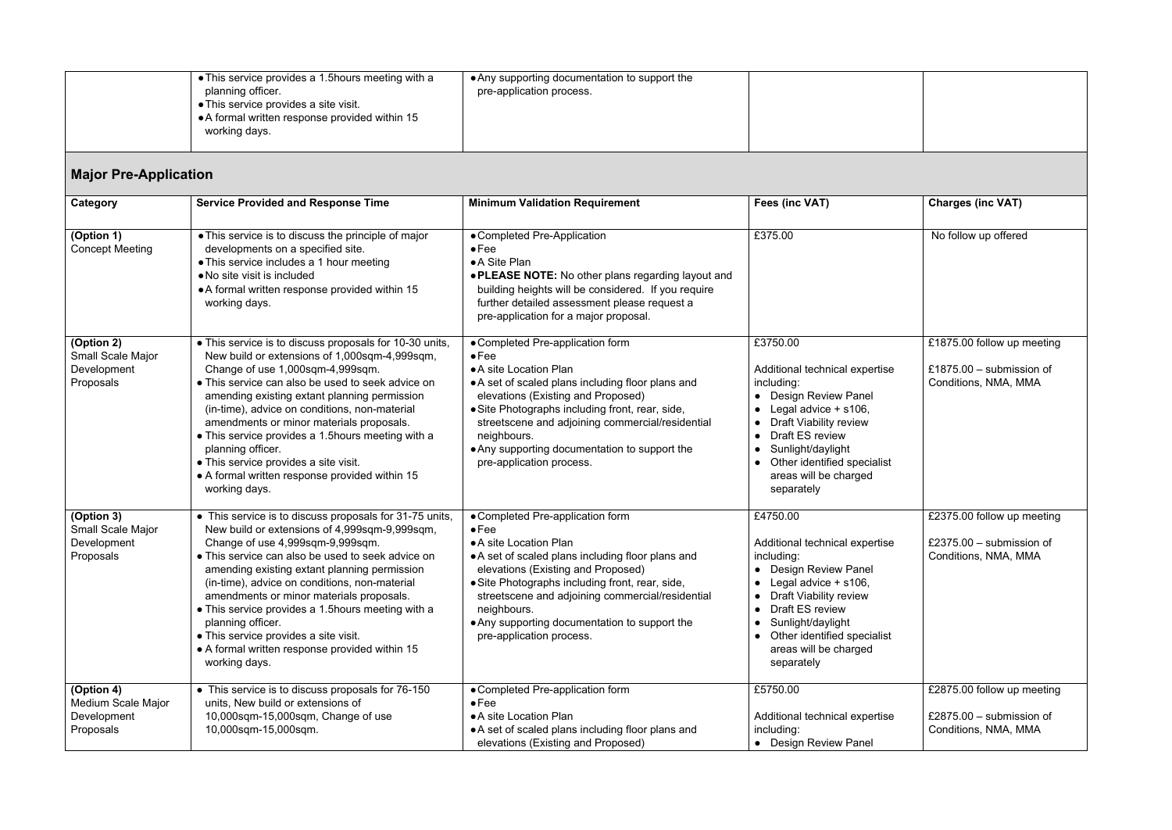| • This service provides a 1.5 hours meeting with a<br>planning officer.<br>• This service provides a site visit.<br>A formal written response provided within 15<br>working days. | • Any supporting documentation to support the<br>pre-application process. |  |  |
|-----------------------------------------------------------------------------------------------------------------------------------------------------------------------------------|---------------------------------------------------------------------------|--|--|
|-----------------------------------------------------------------------------------------------------------------------------------------------------------------------------------|---------------------------------------------------------------------------|--|--|

## **Major Pre-Application**

| Category                                                     | <b>Service Provided and Response Time</b>                                                                                                                                                                                                                                                                                                                                                                                                                                                                                             | <b>Minimum Validation Requirement</b>                                                                                                                                                                                                                                                                                                                                     | Fees (inc VAT)                                                                                                                                                                                                                                               | <b>Charges (inc VAT)</b>                                                         |
|--------------------------------------------------------------|---------------------------------------------------------------------------------------------------------------------------------------------------------------------------------------------------------------------------------------------------------------------------------------------------------------------------------------------------------------------------------------------------------------------------------------------------------------------------------------------------------------------------------------|---------------------------------------------------------------------------------------------------------------------------------------------------------------------------------------------------------------------------------------------------------------------------------------------------------------------------------------------------------------------------|--------------------------------------------------------------------------------------------------------------------------------------------------------------------------------------------------------------------------------------------------------------|----------------------------------------------------------------------------------|
| (Option 1)<br><b>Concept Meeting</b>                         | • This service is to discuss the principle of major<br>developments on a specified site.<br>• This service includes a 1 hour meeting<br>• No site visit is included<br>• A formal written response provided within 15<br>working days.                                                                                                                                                                                                                                                                                                | • Completed Pre-Application<br>$\bullet$ Fee<br>• A Site Plan<br>. PLEASE NOTE: No other plans regarding layout and<br>building heights will be considered. If you require<br>further detailed assessment please request a<br>pre-application for a major proposal.                                                                                                       | £375.00                                                                                                                                                                                                                                                      | No follow up offered                                                             |
| (Option 2)<br>Small Scale Major<br>Development<br>Proposals  | • This service is to discuss proposals for 10-30 units,<br>New build or extensions of 1,000sqm-4,999sqm,<br>Change of use 1,000sqm-4,999sqm.<br>• This service can also be used to seek advice on<br>amending existing extant planning permission<br>(in-time), advice on conditions, non-material<br>amendments or minor materials proposals.<br>• This service provides a 1.5 hours meeting with a<br>planning officer.<br>• This service provides a site visit.<br>• A formal written response provided within 15<br>working days. | • Completed Pre-application form<br>$\bullet$ Fee<br>• A site Location Plan<br>• A set of scaled plans including floor plans and<br>elevations (Existing and Proposed)<br>• Site Photographs including front, rear, side,<br>streetscene and adjoining commercial/residential<br>neighbours.<br>• Any supporting documentation to support the<br>pre-application process. | £3750.00<br>Additional technical expertise<br>including:<br>• Design Review Panel<br>• Legal advice $+$ s106,<br><b>Draft Viability review</b><br>Draft ES review<br>Sunlight/daylight<br>Other identified specialist<br>areas will be charged<br>separately | £1875.00 follow up meeting<br>£1875.00 - submission of<br>Conditions, NMA, MMA   |
| (Option 3)<br>Small Scale Major<br>Development<br>Proposals  | • This service is to discuss proposals for 31-75 units,<br>New build or extensions of 4,999sqm-9,999sqm,<br>Change of use 4,999sqm-9,999sqm.<br>• This service can also be used to seek advice on<br>amending existing extant planning permission<br>(in-time), advice on conditions, non-material<br>amendments or minor materials proposals.<br>• This service provides a 1.5 hours meeting with a<br>planning officer.<br>• This service provides a site visit.<br>• A formal written response provided within 15<br>working days. | • Completed Pre-application form<br>$\bullet$ Fee<br>• A site Location Plan<br>• A set of scaled plans including floor plans and<br>elevations (Existing and Proposed)<br>• Site Photographs including front, rear, side,<br>streetscene and adjoining commercial/residential<br>neighbours.<br>. Any supporting documentation to support the<br>pre-application process. | £4750.00<br>Additional technical expertise<br>including:<br>• Design Review Panel<br>Legal advice $+$ s106,<br><b>Draft Viability review</b><br>Draft ES review<br>Sunlight/daylight<br>• Other identified specialist<br>areas will be charged<br>separately | £2375.00 follow up meeting<br>£2375.00 $-$ submission of<br>Conditions, NMA, MMA |
| (Option 4)<br>Medium Scale Major<br>Development<br>Proposals | • This service is to discuss proposals for 76-150<br>units, New build or extensions of<br>10,000sqm-15,000sqm, Change of use<br>10,000sqm-15,000sqm.                                                                                                                                                                                                                                                                                                                                                                                  | • Completed Pre-application form<br>$\bullet$ Fee<br>• A site Location Plan<br>• A set of scaled plans including floor plans and<br>elevations (Existing and Proposed)                                                                                                                                                                                                    | £5750.00<br>Additional technical expertise<br>including:<br>• Design Review Panel                                                                                                                                                                            | £2875.00 follow up meeting<br>£2875.00 $-$ submission of<br>Conditions, NMA, MMA |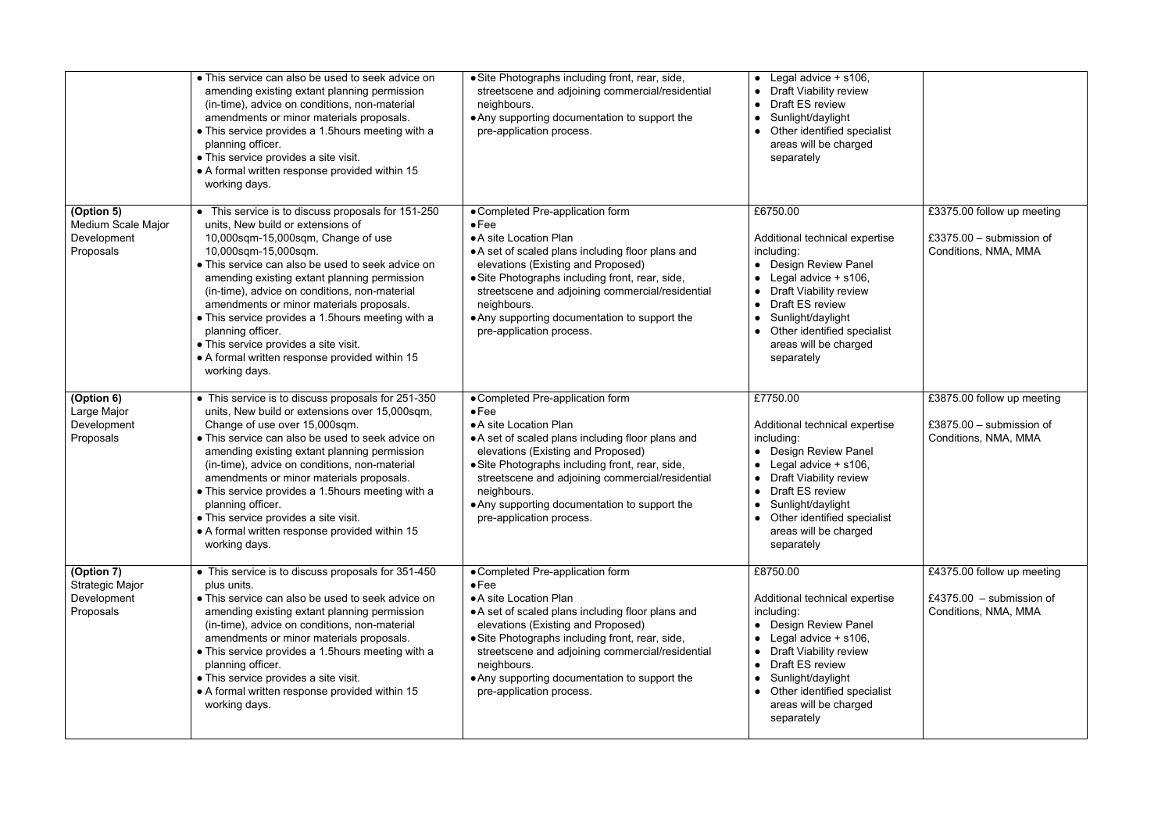|                                                                  | • This service can also be used to seek advice on<br>amending existing extant planning permission<br>(in-time), advice on conditions, non-material<br>amendments or minor materials proposals.<br>• This service provides a 1.5 hours meeting with a<br>planning officer.<br>• This service provides a site visit.<br>• A formal written response provided within 15<br>working days.                                                                                                                                                          | • Site Photographs including front, rear, side,<br>streetscene and adjoining commercial/residential<br>neighbours.<br>• Any supporting documentation to support the<br>pre-application process.                                                                                                                                                                           | • Legal advice $+$ s106,<br><b>Draft Viability review</b><br>Draft ES review<br>$\bullet$<br>Sunlight/daylight<br>$\bullet$<br>Other identified specialist<br>$\bullet$<br>areas will be charged<br>separately                                                                                                            |                                                                                  |
|------------------------------------------------------------------|------------------------------------------------------------------------------------------------------------------------------------------------------------------------------------------------------------------------------------------------------------------------------------------------------------------------------------------------------------------------------------------------------------------------------------------------------------------------------------------------------------------------------------------------|---------------------------------------------------------------------------------------------------------------------------------------------------------------------------------------------------------------------------------------------------------------------------------------------------------------------------------------------------------------------------|---------------------------------------------------------------------------------------------------------------------------------------------------------------------------------------------------------------------------------------------------------------------------------------------------------------------------|----------------------------------------------------------------------------------|
| (Option 5)<br>Medium Scale Major<br>Development<br>Proposals     | • This service is to discuss proposals for 151-250<br>units, New build or extensions of<br>10,000sqm-15,000sqm, Change of use<br>10,000sqm-15,000sqm.<br>• This service can also be used to seek advice on<br>amending existing extant planning permission<br>(in-time), advice on conditions, non-material<br>amendments or minor materials proposals.<br>• This service provides a 1.5 hours meeting with a<br>planning officer.<br>• This service provides a site visit.<br>• A formal written response provided within 15<br>working days. | • Completed Pre-application form<br>$\bullet$ Fee<br>• A site Location Plan<br>• A set of scaled plans including floor plans and<br>elevations (Existing and Proposed)<br>• Site Photographs including front, rear, side,<br>streetscene and adjoining commercial/residential<br>neighbours.<br>• Any supporting documentation to support the<br>pre-application process. | £6750.00<br>Additional technical expertise<br>including:<br>• Design Review Panel<br>Legal advice + s106,<br>$\bullet$<br><b>Draft Viability review</b><br>$\bullet$<br>Draft ES review<br>$\bullet$<br>Sunlight/daylight<br>$\bullet$<br>Other identified specialist<br>$\bullet$<br>areas will be charged<br>separately | £3375.00 follow up meeting<br>£3375.00 $-$ submission of<br>Conditions, NMA, MMA |
| (Option 6)<br>Large Major<br>Development<br>Proposals            | • This service is to discuss proposals for 251-350<br>units, New build or extensions over 15,000sqm,<br>Change of use over 15,000sqm.<br>• This service can also be used to seek advice on<br>amending existing extant planning permission<br>(in-time), advice on conditions, non-material<br>amendments or minor materials proposals.<br>• This service provides a 1.5 hours meeting with a<br>planning officer.<br>• This service provides a site visit.<br>• A formal written response provided within 15<br>working days.                 | • Completed Pre-application form<br>$\bullet$ Fee<br>• A site Location Plan<br>• A set of scaled plans including floor plans and<br>elevations (Existing and Proposed)<br>• Site Photographs including front, rear, side,<br>streetscene and adjoining commercial/residential<br>neighbours.<br>• Any supporting documentation to support the<br>pre-application process. | £7750.00<br>Additional technical expertise<br>including:<br>• Design Review Panel<br>Legal advice + s106,<br>$\bullet$<br>• Draft Viability review<br>Draft ES review<br>$\bullet$<br>Sunlight/daylight<br>$\bullet$<br>• Other identified specialist<br>areas will be charged<br>separately                              | £3875.00 follow up meeting<br>£3875.00 $-$ submission of<br>Conditions, NMA, MMA |
| (Option 7)<br><b>Strategic Major</b><br>Development<br>Proposals | • This service is to discuss proposals for 351-450<br>plus units.<br>• This service can also be used to seek advice on<br>amending existing extant planning permission<br>(in-time), advice on conditions, non-material<br>amendments or minor materials proposals.<br>• This service provides a 1.5 hours meeting with a<br>planning officer.<br>• This service provides a site visit.<br>• A formal written response provided within 15<br>working days.                                                                                     | • Completed Pre-application form<br>$\bullet$ Fee<br>• A site Location Plan<br>• A set of scaled plans including floor plans and<br>elevations (Existing and Proposed)<br>• Site Photographs including front, rear, side,<br>streetscene and adjoining commercial/residential<br>neighbours.<br>• Any supporting documentation to support the<br>pre-application process. | £8750.00<br>Additional technical expertise<br>including:<br>• Design Review Panel<br>• Legal advice $+$ s106,<br>• Draft Viability review<br>Draft ES review<br>$\bullet$<br>Sunlight/daylight<br>$\bullet$<br>Other identified specialist<br>$\bullet$<br>areas will be charged<br>separately                            | £4375.00 follow up meeting<br>£4375.00 $-$ submission of<br>Conditions, NMA, MMA |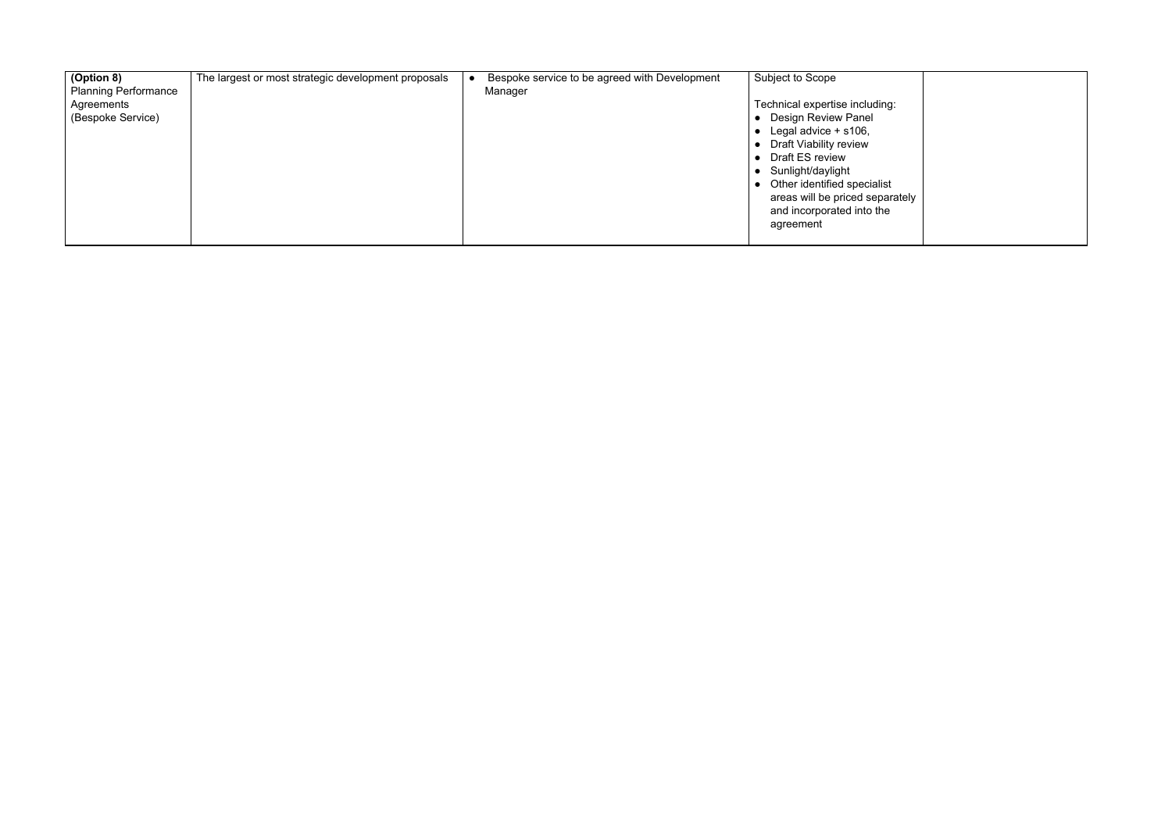| (Option 8)<br><b>Planning Performance</b> | The largest or most strategic development proposals | Bespoke service to be agreed with Development<br>Manager | Subject to Scope                |
|-------------------------------------------|-----------------------------------------------------|----------------------------------------------------------|---------------------------------|
| Agreements                                |                                                     |                                                          | Technical expertise including:  |
| (Bespoke Service)                         |                                                     |                                                          | Design Review Panel             |
|                                           |                                                     |                                                          | Legal advice $+$ s106,          |
|                                           |                                                     |                                                          | Draft Viability review          |
|                                           |                                                     |                                                          | Draft ES review                 |
|                                           |                                                     |                                                          | Sunlight/daylight               |
|                                           |                                                     |                                                          | Other identified specialist     |
|                                           |                                                     |                                                          | areas will be priced separately |
|                                           |                                                     |                                                          | and incorporated into the       |
|                                           |                                                     |                                                          | agreement                       |
|                                           |                                                     |                                                          |                                 |